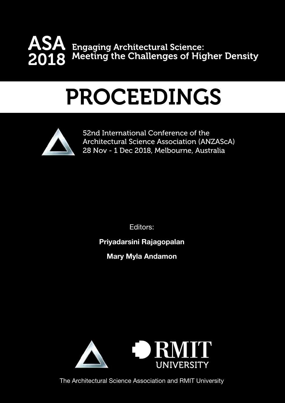

# PROCEEDINGS



52nd International Conference of the Architectural Science Association (ANZAScA) 28 Nov - 1 Dec 2018, Melbourne, Australia

Editors:

## Priyadarsini Rajagopalan

Mary Myla Andamon



The Architectural Science Association and RMIT University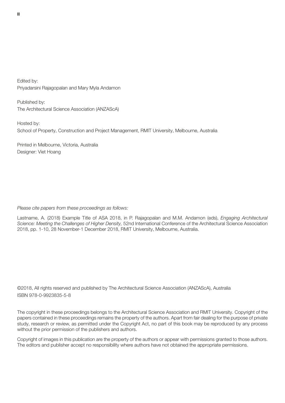Edited by: Priyadarsini Rajagopalan and Mary Myla Andamon

Published by: The Architectural Science Association (ANZAScA)

Hosted by: School of Property, Construction and Project Management, RMIT University, Melbourne, Australia

Printed in Melbourne, Victoria, Australia Designer: Viet Hoang

#### Please cite papers from these proceedings as follows:

Lastname, A. (2018) Example Title of ASA 2018, in P. Rajagopalan and M.M. Andamon (eds), Engaging Architectural Science: Meeting the Challenges of Higher Density, 52nd International Conference of the Architectural Science Association 2018, pp. 1-10, 28 November-1 December 2018, RMIT University, Melbourne, Australia.

©2018, All rights reserved and published by The Architectural Science Association (ANZAScA), Australia ISBN 978-0-9923835-5-8

The copyright in these proceedings belongs to the Architectural Science Association and RMIT University. Copyright of the papers contained in these proceedings remains the property of the authors. Apart from fair dealing for the purpose of private study, research or review, as permitted under the Copyright Act, no part of this book may be reproduced by any process without the prior permission of the publishers and authors.

Copyright of images in this publication are the property of the authors or appear with permissions granted to those authors. The editors and publisher accept no responsibility where authors have not obtained the appropriate permissions.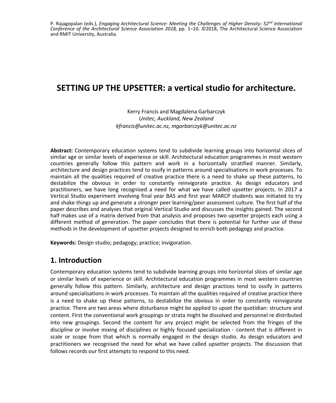P. Rajagopalan (eds.), *Engaging Architectural Science: Meeting the Challenges of Higher Density: 52nd International Conference of the Architectural Science Association 2018,* pp. 1–10. ©2018, The Architectural Science Association and RMIT University, Australia.

## **SETTING UP THE UPSETTER: a vertical studio for architecture.**

Kerry Francis and Magdalena Garbarczyk *Unitec, Auckland, New Zealand kfrancis@unitec.ac.nz, mgarbarczyk@unitec.ac.nz*

**Abstract:** Contemporary education systems tend to subdivide learning groups into horizontal slices of similar age or similar levels of experience or skill. Architectural education programmes in most western countries generally follow this pattern and work in a horizontally stratified manner. Similarly, architecture and design practices tend to ossify in patterns around specialisations in work processes. To maintain all the qualities required of creative practice there is a need to shake up these patterns, to destabilize the obvious in order to constantly reinvigorate practice. As design educators and practitioners, we have long recognised a need for what we have called upsetter projects. In 2017 a Vertical Studio experiment involving final year BAS and first year MARCP students was initiated to try and shake things up and generate a stronger peer learning/peer assessment culture. The first half of the paper describes and analyses that original Vertical Studio and discusses the insights gained. The second half makes use of a matrix derived from that analysis and proposes two upsetter projects each using a different method of generation. The paper concludes that there is potential for further use of these methods in the development of upsetter projects designed to enrich both pedagogy and practice.

**Keywords:** Design studio; pedagogy; practice; invigoration.

## **1. Introduction**

Contemporary education systems tend to subdivide learning groups into horizontal slices of similar age or similar levels of experience or skill. Architectural education programmes in most western countries generally follow this pattern. Similarly, architecture and design practices tend to ossify in patterns around specialisations in work processes. To maintain all the qualities required of creative practice there is a need to shake up these patterns, to destabilize the obvious in order to constantly reinvigorate practice. There are two areas where disturbance might be applied to upset the quotidian: structure and content. First the conventional work groupings or strata might be dissolved and personnel re distributed into new groupings. Second the content for any project might be selected from the fringes of the discipline or involve mixing of disciplines or highly focused specialization - content that is different in scale or scope from that which is normally engaged in the design studio. As design educators and practitioners we recognised the need for what we have called upsetter projects. The discussion that follows records our first attempts to respond to this need.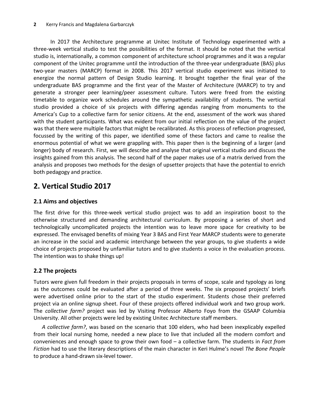In 2017 the Architecture programme at Unitec Institute of Technology experimented with a three-week vertical studio to test the possibilities of the format. It should be noted that the vertical studio is, internationally, a common component of architecture school programmes and it was a regular component of the Unitec programme until the introduction of the three-year undergraduate (BAS) plus two-year masters (MARCP) format in 2008. This 2017 vertical studio experiment was initiated to energize the normal pattern of Design Studio learning. It brought together the final year of the undergraduate BAS programme and the first year of the Master of Architecture (MARCP) to try and generate a stronger peer learning/peer assessment culture. Tutors were freed from the existing timetable to organize work schedules around the sympathetic availability of students. The vertical studio provided a choice of six projects with differing agendas ranging from monuments to the America's Cup to a collective farm for senior citizens. At the end, assessment of the work was shared with the student participants. What was evident from our initial reflection on the value of the project was that there were multiple factors that might be recalibrated. As this process of reflection progressed, focussed by the writing of this paper, we identified some of these factors and came to realise the enormous potential of what we were grappling with. This paper then is the beginning of a larger (and longer) body of research. First, we will describe and analyse that original vertical studio and discuss the insights gained from this analysis. The second half of the paper makes use of a matrix derived from the analysis and proposes two methods for the design of upsetter projects that have the potential to enrich both pedagogy and practice.

## **2. Vertical Studio 2017**

#### **2.1 Aims and objectives**

The first drive for this three-week vertical studio project was to add an inspiration boost to the otherwise structured and demanding architectural curriculum. By proposing a series of short and technologically uncomplicated projects the intention was to leave more space for creativity to be expressed. The envisaged benefits of mixing Year 3 BAS and First Year MARCP students were to generate an increase in the social and academic interchange between the year groups, to give students a wide choice of projects proposed by unfamiliar tutors and to give students a voice in the evaluation process. The intention was to shake things up!

#### **2.2 The projects**

Tutors were given full freedom in their projects proposals in terms of scope, scale and typology as long as the outcomes could be evaluated after a period of three weeks. The six proposed projects' briefs were advertised online prior to the start of the studio experiment. Students chose their preferred project via an online signup sheet. Four of these projects offered individual work and two group work. The *collective farm?* project was led by Visiting Professor Alberto Foyo from the GSAAP Columbia University. All other projects were led by existing Unitec Architecture staff members.

*A collective farm?*, was based on the scenario that 100 elders, who had been inexplicably expelled from their local nursing home, needed a new place to live that included all the modern comfort and conveniences and enough space to grow their own food – a collective farm. The students in *Fact from Fiction* had to use the literary descriptions of the main character in Keri Hulme's novel *The Bone People* to produce a hand-drawn six-level tower.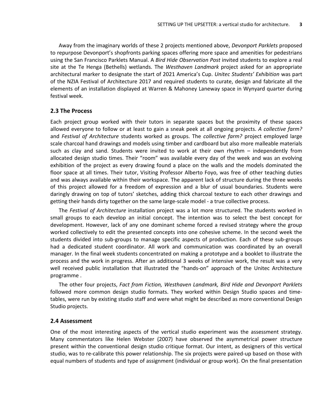Away from the imaginary worlds of these 2 projects mentioned above, *Devonport Parklets* proposed to repurpose Devonport's shopfronts parking spaces offering more space and amenities for pedestrians using the San Francisco Parklets Manual. A *Bird Hide Observation Post* invited students to explore a real site at the Te Henga (Bethells) wetlands. The *Westhaven Landmark* project asked for an appropriate architectural marker to designate the start of 2021 America's Cup. *Unitec Students' Exhibition* was part of the NZIA Festival of Architecture 2017 and required students to curate, design and fabricate all the elements of an installation displayed at Warren & Mahoney Laneway space in Wynyard quarter during festival week.

#### **2.3 The Process**

Each project group worked with their tutors in separate spaces but the proximity of these spaces allowed everyone to follow or at least to gain a sneak peek at all ongoing projects. *A collective farm?* and *Festival of Architecture* students worked as groups. The *collective farm?* project employed large scale charcoal hand drawings and models using timber and cardboard but also more malleable materials such as clay and sand. Students were invited to work at their own rhythm – independently from allocated design studio times. Their "room" was available every day of the week and was an evolving exhibition of the project as every drawing found a place on the walls and the models dominated the floor space at all times. Their tutor, Visiting Professor Alberto Foyo, was free of other teaching duties and was always available within their workspace. The apparent lack of structure during the three weeks of this project allowed for a freedom of expression and a blur of usual boundaries. Students were daringly drawing on top of tutors' sketches, adding thick charcoal texture to each other drawings and getting their hands dirty together on the same large-scale model - a true collective process.

The *Festival of Architecture* installation project was a lot more structured. The students worked in small groups to each develop an initial concept. The intention was to select the best concept for development. However, lack of any one dominant scheme forced a revised strategy where the group worked collectively to edit the presented concepts into one cohesive scheme. In the second week the students divided into sub-groups to manage specific aspects of production. Each of these sub-groups had a dedicated student coordinator. All work and communication was coordinated by an overall manager. In the final week students concentrated on making a prototype and a booklet to illustrate the process and the work in progress. After an additional 3 weeks of intensive work, the result was a very well received public installation that illustrated the "hands-on" approach of the Unitec Architecture programme .

The other four projects, *Fact from Fiction, Westhaven Landmark, Bird Hide and Devonport Parklets*  followed more common design studio formats. They worked within Design Studio spaces and timetables, were run by existing studio staff and were what might be described as more conventional Design Studio projects.

#### **2.4 Assessment**

One of the most interesting aspects of the vertical studio experiment was the assessment strategy. Many commentators like Helen Webster (2007) have observed the asymmetrical power structure present within the conventional design studio critique format. Our intent, as designers of this vertical studio, was to re-calibrate this power relationship. The six projects were paired-up based on those with equal numbers of students and type of assignment (individual or group work). On the final presentation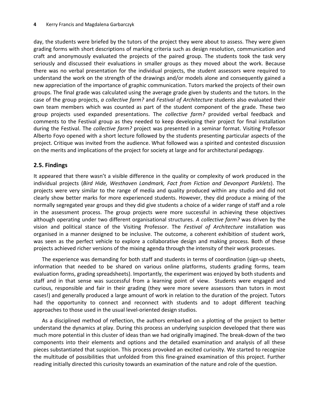day, the students were briefed by the tutors of the project they were about to assess. They were given grading forms with short descriptions of marking criteria such as design resolution, communication and craft and anonymously evaluated the projects of the paired group. The students took the task very seriously and discussed their evaluations in smaller groups as they moved about the work. Because there was no verbal presentation for the individual projects, the student assessors were required to understand the work on the strength of the drawings and/or models alone and consequently gained a new appreciation of the importance of graphic communication. Tutors marked the projects of their own groups. The final grade was calculated using the average grade given by students and the tutors. In the case of the group projects, *a collective farm?* and *Festival of Architecture* students also evaluated their own team members which was counted as part of the student component of the grade. These two group projects used expanded presentations. The *collective farm?* provided verbal feedback and comments to the Festival group as they needed to keep developing their project for final installation during the Festival. The *collective farm?* project was presented in a seminar format. Visiting Professor Alberto Foyo opened with a short lecture followed by the students presenting particular aspects of the project. Critique was invited from the audience. What followed was a spirited and contested discussion on the merits and implications of the project for society at large and for architectural pedagogy.

#### **2.5. Findings**

It appeared that there wasn't a visible difference in the quality or complexity of work produced in the individual projects (*Bird Hide, Westhaven Landmark, Fact from Fiction and Devonport Parklets*). The projects were very similar to the range of media and quality produced within any studio and did not clearly show better marks for more experienced students. However, they did produce a mixing of the normally segregated year groups and they did give students a choice of a wider range of staff and a role in the assessment process. The group projects were more successful in achieving these objectives although operating under two different organisational structures. *A collective farm?* was driven by the vision and political stance of the Visiting Professor. The *Festival of Architecture* installation was organised in a manner designed to be inclusive. The outcome, a coherent exhibition of student work, was seen as the perfect vehicle to explore a collaborative design and making process. Both of these projects achieved richer versions of the mixing agenda through the intensity of their work processes.

The experience was demanding for both staff and students in terms of coordination (sign-up sheets, information that needed to be shared on various online platforms, students grading forms, team evaluation forms, grading spreadsheets). Importantly, the experiment was enjoyed by both students and staff and in that sense was successful from a learning point of view. Students were engaged and curious, responsible and fair in their grading (they were more severe assessors than tutors in most cases!) and generally produced a large amount of work in relation to the duration of the project. Tutors had the opportunity to connect and reconnect with students and to adopt different teaching approaches to those used in the usual level-oriented design studios.

As a disciplined method of reflection, the authors embarked on a plotting of the project to better understand the dynamics at play. During this process an underlying suspicion developed that there was much more potential in this cluster of ideas than we had originally imagined. The break-down of the two components into their elements and options and the detailed examination and analysis of all these pieces substantiated that suspicion. This process provoked an excited curiosity. We started to recognize the multitude of possibilities that unfolded from this fine-grained examination of this project. Further reading initially directed this curiosity towards an examination of the nature and role of the question.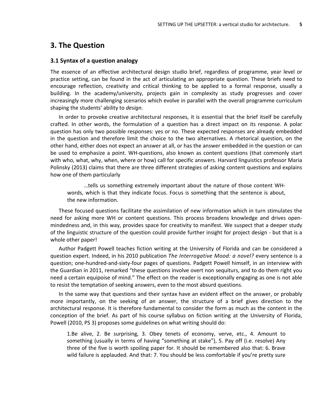#### **3. The Question**

#### **3.1 Syntax of a question analogy**

The essence of an effective architectural design studio brief, regardless of programme, year level or practice setting, can be found in the act of articulating an appropriate question. These briefs need to encourage reflection, creativity and critical thinking to be applied to a formal response, usually a building. In the academy/university, projects gain in complexity as study progresses and cover increasingly more challenging scenarios which evolve in parallel with the overall programme curriculum shaping the students' ability to *design*.

In order to provoke creative architectural responses, it is essential that the brief itself be carefully crafted. In other words, the formulation of a question has a direct impact on its response. A polar question has only two possible responses: yes or no. These expected responses are already embedded in the question and therefore limit the choice to the two alternatives. A rhetorical question, on the other hand, either does not expect an answer at all, or has the answer embedded in the question or can be used to emphasize a point. WH-questions, also known as content questions (that commonly start with who, what, why, when, where or how) call for specific answers. Harvard linguistics professor Maria Polinsky (2013) claims that there are three different strategies of asking content questions and explains how one of them particularly

…tells us something extremely important about the nature of those content WHwords, which is that they indicate focus. Focus is something that the sentence is about, the new information.

These focused questions facilitate the assimilation of new information which in turn stimulates the need for asking more WH or content questions. This process broadens knowledge and drives openmindedness and, in this way, provides space for creativity to manifest. We suspect that a deeper study of the linguistic structure of the question could provide further insight for project design - but that is a whole other paper!

Author Padgett Powell teaches fiction writing at the University of Florida and can be considered a question expert. Indeed, in his 2010 publication *The Interrogative Mood: a novel?* every sentence is a question; one-hundred-and-sixty-four pages of questions. Padgett Powell himself, in an interview with the Guardian in 2011, remarked "these questions involve overt non sequiturs, and to do them right you need a certain equipoise of mind." The effect on the reader is exceptionally engaging as one is not able to resist the temptation of seeking answers, even to the most absurd questions.

In the same way that questions and their syntax have an evident effect on the answer, or probably more importantly, on the seeking of *an* answer, the structure of a brief gives direction to the architectural response. It is therefore fundamental to consider the form as much as the content in the conception of the brief. As part of his course syllabus on fiction writing at the University of Florida, Powell (2010, PS 3) proposes some guidelines on what writing should do:

1.Be alive, 2. Be surprising, 3. Obey tenets of economy, verve, etc., 4. Amount to something (usually in terms of having "something at stake"), 5. Pay off (i.e. resolve) Any three of the five is worth spoiling paper for. It should be remembered also that: 6. Brave wild failure is applauded. And that: 7. You should be less comfortable if you're pretty sure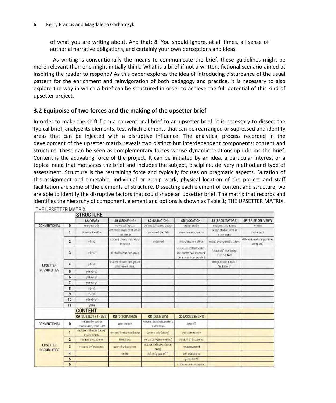of what you are writing about. And that: 8. You should ignore, at all times, all sense of authorial narrative obligations, and certainly your own perceptions and ideas.

 As writing is conventionally the means to communicate the brief, these guidelines might be more relevant than one might initially think. What is a brief if not a written, fictional scenario aimed at inspiring the reader to respond? As this paper explores the idea of introducing disturbance of the usual pattern for the enrichment and reinvigoration of both pedagogy and practice, it is necessary to also explore the way in which a brief can be structured in order to achieve the full potential of this kind of upsetter project.

#### **3.2 Equipoise of two forces and the making of the upsetter brief**

In order to make the shift from a conventional brief to an upsetter brief, it is necessary to dissect the typical brief, analyse its elements, test which elements that can be rearranged or supressed and identify areas that can be injected with a disruptive influence. The analytical process recorded in the development of the upsetter matrix reveals two distinct but interdependent components: content and structure. These can be seen as complementary forces whose dynamic relationship informs the brief. Content is the activating force of the project. It can be initiated by an idea, a particular interest or a topical need that motivates the brief and includes the subject, discipline, delivery method and type of assessment. Structure is the restraining force and typically focuses on pragmatic aspects. Duration of the assignment and timetable, individual or group work, physical location of the project and staff facilitation are some of the elements of structure. Dissecting each element of content and structure, we are able to identify the disruptive factors that could shape an upsetter brief. The matrix that records and identifies the hierarchy of component, element and options is shown as Table 1; THE UPSETTER MATRIX. THE UPSETTER MATRIX

|                                         |                | <b>STRUCTURE</b>                                 |                                                  |                                         |                                                                                    |                                          |                                          |
|-----------------------------------------|----------------|--------------------------------------------------|--------------------------------------------------|-----------------------------------------|------------------------------------------------------------------------------------|------------------------------------------|------------------------------------------|
|                                         |                | SA (YEAR)                                        | SB (GROUPING)                                    | SC (DURATION)                           | SD (LOCATION)                                                                      | SE (FACILITATORS)                        | SF (BRIEF DELIVERY)                      |
| CONVENTIONAL                            | 0              | one year only.                                   | individual / group                               | delined (allocated design               | design studio.                                                                     | design studio tutors                     | wilden                                   |
| <b>UPSETTER</b><br><b>POSSIBILITIES</b> | T              | all years together                               | defined tumber of students<br>per group          | condensed (ex. 24h)                     | elsewhere on campus                                                                | design studio tutors of<br>other years   | verbal only                              |
|                                         | $\mathbf{z}$   | y1ty2                                            | student choice: in indulat<br>or group           | undefined                               | in architecture office                                                             | mixed desing studio Lutors               | different medium (painting,<br>song etc) |
|                                         | 3              | $V$ <sup>1+<math>V</math>3</sup>                 | all students as one group                        |                                         | st Idio unrelated Incation<br>(ex. sports hall, museum)<br>community centre, etc.) | "outsiders" not design.<br>studio tutors |                                          |
|                                         | 4              | yleys:                                           | student choice free groups<br>of different sizes |                                         |                                                                                    | design studio tutors +<br>outsiders"     |                                          |
|                                         | 5              | y1+y2+y3                                         |                                                  |                                         |                                                                                    |                                          |                                          |
|                                         | 6              | $y1+y2+y4$                                       |                                                  |                                         |                                                                                    |                                          |                                          |
|                                         | $\overline{1}$ | y1(y3)y4                                         |                                                  |                                         |                                                                                    |                                          |                                          |
|                                         | 8              | $y2+y3$                                          |                                                  |                                         |                                                                                    |                                          |                                          |
|                                         | 9              | V24V4                                            |                                                  |                                         |                                                                                    |                                          |                                          |
|                                         | 10             | V2+y3+y4                                         |                                                  |                                         |                                                                                    |                                          |                                          |
|                                         | 11             | $18 + 4$                                         |                                                  |                                         |                                                                                    |                                          |                                          |
|                                         |                | <b>CONTENT</b>                                   |                                                  |                                         |                                                                                    |                                          |                                          |
|                                         |                | <b>CA (SUBJECT / THEME)</b>                      | <b>CB (DISCIPLINES)</b>                          | <b>CC (DELIVERY)</b>                    | <b>CD (ASSESSMENT)</b>                                                             |                                          |                                          |
| <b>CONVENTIONAL</b>                     | $\mathbf{0}$   | initiated by course.<br>coordinator / lead tutor | arch tecture                                     | models, drawings, posters,<br>sideshows | by staff                                                                           |                                          |                                          |
| <b>UPSETTER</b><br><b>POSSIBILITIES</b> | $\mathbf{I}$   | mi/liple nitrators (design)<br>studio tutors).   | non-architecture or design                       | written only (essay)                    | ty students only                                                                   |                                          |                                          |
|                                         | $\overline{2}$ | withated by students                             | liberal arts                                     | verbal only (story telling)             | ty staff and students                                                              |                                          |                                          |
|                                         | 3              | in trated by "outsiders"                         | scientific disciplines.                          | abstracted (cake, dance,<br>song        | no assessment                                                                      |                                          |                                          |
|                                         | 4              |                                                  | traite                                           | built only (scale 1.1)                  | self evaluation                                                                    |                                          |                                          |
|                                         | 5              |                                                  |                                                  |                                         | by outsivers"                                                                      |                                          |                                          |
|                                         | 6              |                                                  |                                                  |                                         | st idents evaluating staff                                                         |                                          |                                          |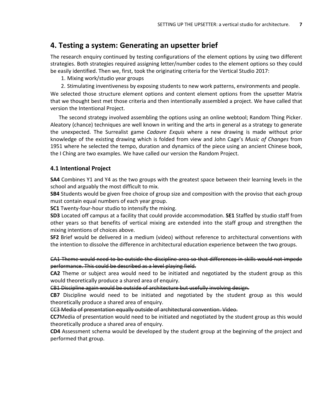## **4. Testing a system: Generating an upsetter brief**

The research enquiry continued by testing configurations of the element options by using two different strategies. Both strategies required assigning letter/number codes to the element options so they could be easily identified. Then we, first, took the originating criteria for the Vertical Studio 2017:

1. Mixing work/studio year groups

2. Stimulating inventiveness by exposing students to new work patterns, environments and people. We selected those structure element options and content element options from the upsetter Matrix that we thought best met those criteria and then intentionally assembled a project. We have called that version the Intentional Project.

The second strategy involved assembling the options using an online webtool; Random Thing Picker. Aleatory (chance) techniques are well known in writing and the arts in general as a strategy to generate the unexpected. The Surrealist game *Cadavre Exquis* where a new drawing is made without prior knowledge of the existing drawing which is folded from view and John Cage's *Music of Changes* from 1951 where he selected the tempo, duration and dynamics of the piece using an ancient Chinese book, the I Ching are two examples. We have called our version the Random Project.

#### **4.1 Intentional Project**

**SA4** Combines Y1 and Y4 as the two groups with the greatest space between their learning levels in the school and arguably the most difficult to mix.

**SB4** Students would be given free choice of group size and composition with the proviso that each group must contain equal numbers of each year group.

**SC1** Twenty-four-hour studio to intensify the mixing.

**SD3** Located off campus at a facility that could provide accommodation. **SE1** Staffed by studio staff from other years so that benefits of vertical mixing are extended into the staff group and strengthen the mixing intentions of choices above.

**SF2** Brief would be delivered in a medium (video) without reference to architectural conventions with the intention to dissolve the difference in architectural education experience between the two groups.

CA1 Theme would need to be outside the discipline area so that differences in skills would not impede performance. This could be described as a level playing field.

**CA2** Theme or subject area would need to be initiated and negotiated by the student group as this would theoretically produce a shared area of enquiry.

CB1 Discipline again would be outside of architecture but usefully involving design.

**CB7** Discipline would need to be initiated and negotiated by the student group as this would theoretically produce a shared area of enquiry.

CC3 Media of presentation equally outside of architectural convention. Video.

**CC7**Media of presentation would need to be initiated and negotiated by the student group as this would theoretically produce a shared area of enquiry.

**CD4** Assessment schema would be developed by the student group at the beginning of the project and performed that group.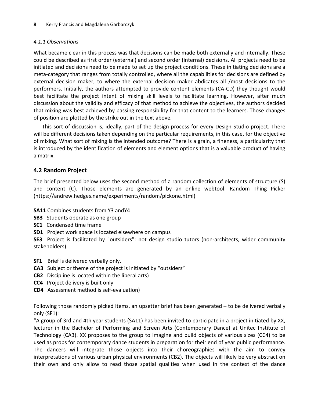#### *4.1.1 Observations*

What became clear in this process was that decisions can be made both externally and internally. These could be described as first order (external) and second order (internal) decisions. All projects need to be initiated and decisions need to be made to set up the project conditions. These initiating decisions are a meta-category that ranges from totally controlled, where all the capabilities for decisions are defined by external decision maker, to where the external decision maker abdicates all /most decisions to the performers. Initially, the authors attempted to provide content elements (CA-CD) they thought would best facilitate the project intent of mixing skill levels to facilitate learning. However, after much discussion about the validity and efficacy of that method to achieve the objectives, the authors decided that mixing was best achieved by passing responsibility for that content to the learners. Those changes of position are plotted by the strike out in the text above.

This sort of discussion is, ideally, part of the design process for every Design Studio project. There will be different decisions taken depending on the particular requirements, in this case, for the objective of mixing. What sort of mixing is the intended outcome? There is a grain, a fineness, a particularity that is introduced by the identification of elements and element options that is a valuable product of having a matrix.

#### **4.2 Random Project**

The brief presented below uses the second method of a random collection of elements of structure (S) and content (C). Those elements are generated by an online webtool: Random Thing Picker [\(https://andrew.hedges.name/experiments/random/pickone.html\)](https://andrew.hedges.name/experiments/random/pickone.html)

**SA11** Combines students from Y3 andY4

- **SB3** Students operate as one group
- **SC1** Condensed time frame
- **SD1** Project work space is located elsewhere on campus

**SE3** Project is facilitated by "outsiders": not design studio tutors (non-architects, wider community stakeholders)

- **SF1** Brief is delivered verbally only.
- **CA3** Subject or theme of the project is initiated by "outsiders"
- **CB2** Discipline is located within the liberal arts)
- **CC4** Project delivery is built only
- **CD4** Assessment method is self-evaluation)

Following those randomly picked items, an upsetter brief has been generated – to be delivered verbally only (SF1):

"A group of 3rd and 4th year students (SA11) has been invited to participate in a project initiated by XX, lecturer in the Bachelor of Performing and Screen Arts (Contemporary Dance) at Unitec Institute of Technology (CA3). XX proposes to the group to imagine and build objects of various sizes (CC4) to be used as props for contemporary dance students in preparation for their end of year public performance. The dancers will integrate those objects into their choreographies with the aim to convey interpretations of various urban physical environments (CB2). The objects will likely be very abstract on their own and only allow to read those spatial qualities when used in the context of the dance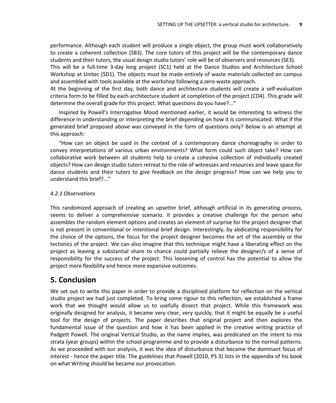performance. Although each student will produce a single object, the group must work collaboratively to create a coherent collection (SB3). The core tutors of this project will be the contemporary dance students and their tutors, the usual design studio tutors' role will be of observers and resources (SE3).

This will be a full-time 3-day long project (SC1) held at the Dance Studios and Architecture School Workshop at Unitec (SD1). The objects must be made entirely of waste materials collected on campus and assembled with tools available at the workshop following a zero-waste approach.

At the beginning of the first day, both dance and architecture students will create a self-evaluation criteria form to be filled by each architecture student at completion of the project (CD4). This grade will determine the overall grade for this project. What questions do you have?..."

Inspired by Powell's Interrogative Mood mentioned earlier, it would be interesting to witness the difference in understanding or interpreting the brief depending on how it is communicated. What if the generated brief proposed above was conveyed in the form of questions only? Below is an attempt at this approach:

"How can an object be used in the context of a contemporary dance choreography in order to convey interpretations of various urban environments? What form could such object take? How can collaborative work between all students help to create a cohesive collection of individually created objects? How can design studio tutors retreat to the role of witnesses and resources and leave space for dance students and their tutors to give feedback on the design progress? How can we help you to understand this brief?..."

#### *4.2.1 Observations*

This randomized approach of creating an upsetter brief, although artificial in its generating process, seems to deliver a comprehensive scenario. It provides a creative challenge for the person who assembles the random element options and creates an element of surprise for the project designer that is not present in conventional or intentional brief design. Interestingly, by abdicating responsibility for the choice of the options, the focus for the project designer becomes the art of the assembly or the tectonics of the project. We can also imagine that this technique might have a liberating effect on the project as leaving a substantial share to chance could partially relieve the designer/s of a sense of responsibility for the success of the project. This loosening of control has the potential to allow the project more flexibility and hence more expansive outcomes.

### **5. Conclusion**

We set out to write this paper in order to provide a disciplined platform for reflection on the vertical studio project we had just completed. To bring some rigour to this reflection, we established a frame work that we thought would allow us to usefully dissect that project. While this framework was originally designed for analysis, it became very clear, very quickly, that it might be equally be a useful tool for the design of projects. The paper describes that original project and then explores the fundamental issue of the question and how it has been applied in the creative writing practice of Padgett Powell. The original Vertical Studio, as the name implies, was predicated on the intent to mix strata (year groups) within the school programme and to provide a disturbance to the normal patterns. As we proceeded with our analysis, it was the idea of disturbance that became the dominant focus of interest - hence the paper title. The guidelines that Powell (2010, PS 3) lists in the appendix of his book on what Writing should be became our provocation.